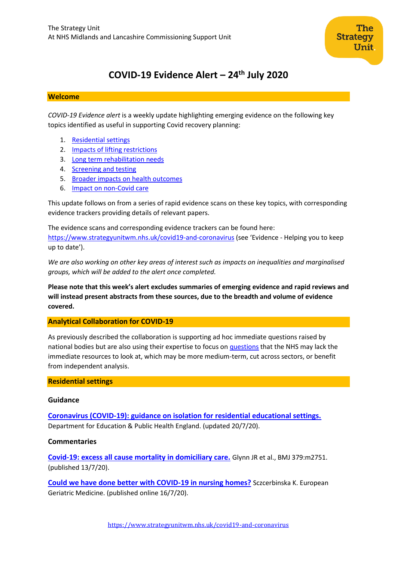

# **COVID-19 Evidence Alert – 24 th July 2020**

#### **Welcome**

*COVID-19 Evidence alert* is a weekly update highlighting emerging evidence on the following key topics identified as useful in supporting Covid recovery planning:

- 1. [Residential settings](#page-0-0)
- 2. Impacts of lifting restrictions
- 3. Long term rehabilitation needs
- 4. [Screening and testing](#page-7-0)
- 5. Broader impacts on health outcomes
- 6. Impact on non-Covid care

This update follows on from a series of rapid evidence scans on these key topics, with corresponding evidence trackers providing details of relevant papers.

The evidence scans and corresponding evidence trackers can be found here: <https://www.strategyunitwm.nhs.uk/covid19-and-coronavirus> (see 'Evidence - Helping you to keep up to date').

*We are also working on other key areas of interest such as impacts on inequalities and marginalised groups, which will be added to the alert once completed.*

**Please note that this week's alert excludes summaries of emerging evidence and rapid reviews and will instead present abstracts from these sources, due to the breadth and volume of evidence covered.**

#### <span id="page-0-0"></span>**Analytical Collaboration for COVID-19**

As previously described the collaboration is supporting ad hoc immediate questions raised by national bodies but are also using their expertise to focus on [questions](https://www.strategyunitwm.nhs.uk/sites/default/files/2020-05/Covid%20Collaboration%20Summaries_0.pdf) that the NHS may lack the immediate resources to look at, which may be more medium-term, cut across sectors, or benefit from independent analysis.

#### **Residential settings**

#### **Guidance**

**[Coronavirus \(COVID-19\): guidance on isolation for residential educational settings.](https://www.gov.uk/government/publications/coronavirus-covid-19-guidance-on-isolation-for-residential-educational-settings)** Department for Education & Public Health England. (updated 20/7/20).

#### **Commentaries**

**[Covid-19: excess all cause mortality in domiciliary care.](https://www.bmj.com/content/370/bmj.m2751.full)** Glynn JR et al., BMJ 379:m2751. (published 13/7/20).

**[Could we have done better with COVID-19 in nursing homes?](https://link.springer.com/article/10.1007/s41999-020-00362-7)** Sczcerbinska K. European Geriatric Medicine. (published online 16/7/20).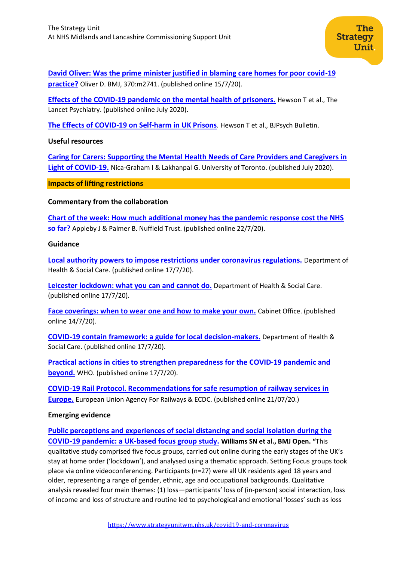**[David Oliver: Was the prime minister justified in blaming care homes for poor covid-19](https://www.bmj.com/content/370/bmj.m2741)  [practice?](https://www.bmj.com/content/370/bmj.m2741)** Oliver D. BMJ, 370:m2741. (published online 15/7/20).

**[Effects of the COVID-19 pandemic on the mental health of prisoners.](https://www.thelancet.com/journals/lanpsy/article/PIIS2215-0366(20)30241-8/fulltext#%20)** Hewson T et al., The Lancet Psychiatry. (published online July 2020).

**[The Effects of COVID-19 on Self-harm in UK Prisons](https://www.cambridge.org/core/services/aop-cambridge-core/content/view/2E6B81CF52D64878FE0517F29726812F/S2056469420000832a.pdf/effects_of_covid19_on_selfharm_in_uk_prisons.pdf)**. Hewson T et al., BJPsych Bulletin.

#### **Useful resources**

**[Caring for Carers: Supporting the Mental Health Needs of Care Providers and Caregivers in](https://sinaigeriatrics.ca/wp-content/uploads/2020/07/Dr.-Nica-Graham-Gita-Lakhanpal-Institute-2020.pdf)  Light [of COVID-19.](https://sinaigeriatrics.ca/wp-content/uploads/2020/07/Dr.-Nica-Graham-Gita-Lakhanpal-Institute-2020.pdf)** Nica-Graham I & Lakhanpal G. University of Toronto. (published July 2020).

**Impacts of lifting restrictions**

# **Commentary from the collaboration**

**[Chart of the week: How much additional money has the pandemic response cost the NHS](https://www.nuffieldtrust.org.uk/resource/chart-of-the-week-the-direct-health-and-care-costs-of-covid-19-so-far)  [so far?](https://www.nuffieldtrust.org.uk/resource/chart-of-the-week-the-direct-health-and-care-costs-of-covid-19-so-far)** Appleby J & Palmer B. Nuffield Trust. (published online 22/7/20).

#### **Guidance**

**[Local authority powers to impose restrictions under coronavirus regulations.](https://www.gov.uk/government/publications/local-authority-powers-to-impose-restrictions-under-coronavirus-regulations)** Department of Health & Social Care. (published online 17/7/20).

**[Leicester lockdown: what you can and cannot do.](https://www.gov.uk/guidance/leicester-lockdown-what-you-can-and-cannot-do)** Department of Health & Social Care. (published online 17/7/20).

**[Face coverings: when to wear one and how to make your own.](https://www.gov.uk/government/publications/face-coverings-when-to-wear-one-and-how-to-make-your-own/face-coverings-when-to-wear-one-and-how-to-make-your-own)** Cabinet Office. (published online 14/7/20).

**[COVID-19 contain framework: a guide for local](https://www.gov.uk/government/publications/containing-and-managing-local-coronavirus-covid-19-outbreaks/covid-19-contain-framework-a-guide-for-local-decision-makers) decision-makers.** Department of Health & Social Care. (published online 17/7/20).

**[Practical actions in cities to strengthen preparedness for the COVID-19 pandemic and](https://www.who.int/publications/i/item/WHO-2019-nCoV-ActionsforPreparedness-Checklist-2020.1)  [beyond.](https://www.who.int/publications/i/item/WHO-2019-nCoV-ActionsforPreparedness-Checklist-2020.1)** WHO. (published online 17/7/20).

**[COVID-19 Rail Protocol. Recommendations for safe resumption of railway services in](https://www.ecdc.europa.eu/sites/default/files/documents/Covid-19-Rail-Protocol_v1.4.pdf)  [Europe.](https://www.ecdc.europa.eu/sites/default/files/documents/Covid-19-Rail-Protocol_v1.4.pdf)** European Union Agency For Railways & ECDC. (published online 21/07/20.)

# **Emerging evidence**

**[Public perceptions and experiences of social distancing and social isolation](https://bmjopen.bmj.com/content/bmjopen/10/7/e039334.full.pdf) during the [COVID-19 pandemic: a UK-based focus group study.](https://bmjopen.bmj.com/content/bmjopen/10/7/e039334.full.pdf) Williams SN et al., BMJ Open. "**This qualitative study comprised five focus groups, carried out online during the early stages of the UK's stay at home order ('lockdown'), and analysed using a thematic approach. Setting Focus groups took place via online videoconferencing. Participants (n=27) were all UK residents aged 18 years and older, representing a range of gender, ethnic, age and occupational backgrounds. Qualitative analysis revealed four main themes: (1) loss—participants' loss of (in-person) social interaction, loss of income and loss of structure and routine led to psychological and emotional 'losses' such as loss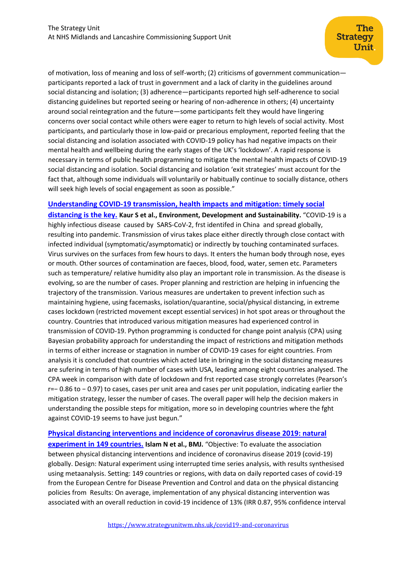of motivation, loss of meaning and loss of self-worth; (2) criticisms of government communication participants reported a lack of trust in government and a lack of clarity in the guidelines around social distancing and isolation; (3) adherence—participants reported high self-adherence to social distancing guidelines but reported seeing or hearing of non-adherence in others; (4) uncertainty around social reintegration and the future—some participants felt they would have lingering concerns over social contact while others were eager to return to high levels of social activity. Most participants, and particularly those in low-paid or precarious employment, reported feeling that the social distancing and isolation associated with COVID-19 policy has had negative impacts on their mental health and wellbeing during the early stages of the UK's 'lockdown'. A rapid response is necessary in terms of public health programming to mitigate the mental health impacts of COVID-19 social distancing and isolation. Social distancing and isolation 'exit strategies' must account for the fact that, although some individuals will voluntarily or habitually continue to socially distance, others will seek high levels of social engagement as soon as possible."

#### **[Understanding COVID-19 transmission, health impacts and](https://link.springer.com/content/pdf/10.1007/s10668-020-00884-x.pdf) mitigation: timely social**

**[distancing is](https://link.springer.com/content/pdf/10.1007/s10668-020-00884-x.pdf) the key. Kaur S et al., Environment, Development and Sustainability.** "COVID-19 is a highly infectious disease caused by SARS-CoV-2, frst identifed in China and spread globally, resulting into pandemic. Transmission of virus takes place either directly through close contact with infected individual (symptomatic/asymptomatic) or indirectly by touching contaminated surfaces. Virus survives on the surfaces from few hours to days. It enters the human body through nose, eyes or mouth. Other sources of contamination are faeces, blood, food, water, semen etc. Parameters such as temperature/ relative humidity also play an important role in transmission. As the disease is evolving, so are the number of cases. Proper planning and restriction are helping in infuencing the trajectory of the transmission. Various measures are undertaken to prevent infection such as maintaining hygiene, using facemasks, isolation/quarantine, social/physical distancing, in extreme cases lockdown (restricted movement except essential services) in hot spot areas or throughout the country. Countries that introduced various mitigation measures had experienced control in transmission of COVID-19. Python programming is conducted for change point analysis (CPA) using Bayesian probability approach for understanding the impact of restrictions and mitigation methods in terms of either increase or stagnation in number of COVID-19 cases for eight countries. From analysis it is concluded that countries which acted late in bringing in the social distancing measures are sufering in terms of high number of cases with USA, leading among eight countries analysed. The CPA week in comparison with date of lockdown and frst reported case strongly correlates (Pearson's r=− 0.86 to − 0.97) to cases, cases per unit area and cases per unit population, indicating earlier the mitigation strategy, lesser the number of cases. The overall paper will help the decision makers in understanding the possible steps for mitigation, more so in developing countries where the fght against COVID-19 seems to have just begun."

**[Physical distancing interventions and incidence of coronavirus disease 2019: natural](https://www.bmj.com/content/bmj/370/bmj.m2743.full.pdf)  [experiment in 149 countries.](https://www.bmj.com/content/bmj/370/bmj.m2743.full.pdf) Islam N et al., BMJ.** "Objective: To evaluate the association between physical distancing interventions and incidence of coronavirus disease 2019 (covid-19) globally. Design: Natural experiment using interrupted time series analysis, with results synthesised using metaanalysis. Setting: 149 countries or regions, with data on daily reported cases of covid-19 from the European Centre for Disease Prevention and Control and data on the physical distancing policies from Results: On average, implementation of any physical distancing intervention was associated with an overall reduction in covid-19 incidence of 13% (IRR 0.87, 95% confidence interval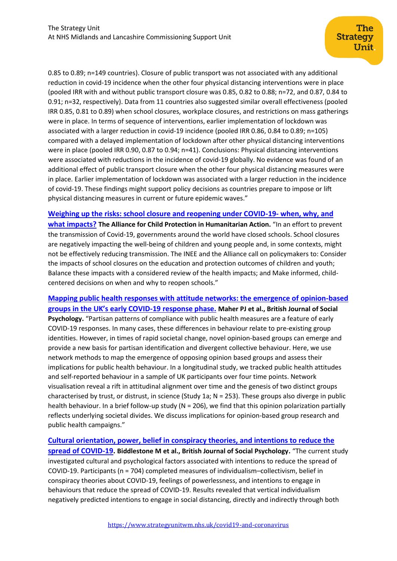0.85 to 0.89; n=149 countries). Closure of public transport was not associated with any additional reduction in covid-19 incidence when the other four physical distancing interventions were in place (pooled IRR with and without public transport closure was 0.85, 0.82 to 0.88; n=72, and 0.87, 0.84 to 0.91; n=32, respectively). Data from 11 countries also suggested similar overall effectiveness (pooled IRR 0.85, 0.81 to 0.89) when school closures, workplace closures, and restrictions on mass gatherings were in place. In terms of sequence of interventions, earlier implementation of lockdown was associated with a larger reduction in covid-19 incidence (pooled IRR 0.86, 0.84 to 0.89; n=105) compared with a delayed implementation of lockdown after other physical distancing interventions were in place (pooled IRR 0.90, 0.87 to 0.94; n=41). Conclusions: Physical distancing interventions were associated with reductions in the incidence of covid-19 globally. No evidence was found of an additional effect of public transport closure when the other four physical distancing measures were in place. Earlier implementation of lockdown was associated with a larger reduction in the incidence of covid-19. These findings might support policy decisions as countries prepare to impose or lift physical distancing measures in current or future epidemic waves."

#### **[Weighing up the risks: school closure and reopening under COVID-19-](https://www.alliancecpha.org/en/system/tdf/library/attachments/cpha-eie_policy_paper_v1.1_en_lowres.pdf?file=1&type=node&id=39405) when, why, and**

**[what impacts?](https://www.alliancecpha.org/en/system/tdf/library/attachments/cpha-eie_policy_paper_v1.1_en_lowres.pdf?file=1&type=node&id=39405) The Alliance for Child Protection in Humanitarian Action.** "In an effort to prevent the transmission of Covid-19, governments around the world have closed schools. School closures are negatively impacting the well-being of children and young people and, in some contexts, might not be effectively reducing transmission. The INEE and the Alliance call on policymakers to: Consider the impacts of school closures on the education and protection outcomes of children and youth; Balance these impacts with a considered review of the health impacts; and Make informed, childcentered decisions on when and why to reopen schools."

**Mapping public health responses with [attitude networks: the emergence of opinion-based](https://onlinelibrary.wiley.com/doi/pdfdirect/10.1111/bjso.12396)  [groups in the UK's early COVID](https://onlinelibrary.wiley.com/doi/pdfdirect/10.1111/bjso.12396)-19 response phase. Maher PJ et al., British Journal of Social Psychology.** "Partisan patterns of compliance with public health measures are a feature of early COVID-19 responses. In many cases, these differences in behaviour relate to pre-existing group identities. However, in times of rapid societal change, novel opinion-based groups can emerge and provide a new basis for partisan identification and divergent collective behaviour. Here, we use network methods to map the emergence of opposing opinion based groups and assess their implications for public health behaviour. In a longitudinal study, we tracked public health attitudes and self-reported behaviour in a sample of UK participants over four time points. Network visualisation reveal a rift in attitudinal alignment over time and the genesis of two distinct groups characterised by trust, or distrust, in science (Study 1a; N = 253). These groups also diverge in public health behaviour. In a brief follow-up study (N = 206), we find that this opinion polarization partially reflects underlying societal divides. We discuss implications for opinion-based group research and public health campaigns."

# **[Cultural orientation, power, belief in conspiracy theories, and intentions to reduce the](https://onlinelibrary.wiley.com/doi/pdfdirect/10.1111/bjso.12397)  [spread of COVID-19.](https://onlinelibrary.wiley.com/doi/pdfdirect/10.1111/bjso.12397) Biddlestone M et al., British Journal of Social Psychology.** "The current study investigated cultural and psychological factors associated with intentions to reduce the spread of COVID-19. Participants (n = 704) completed measures of individualism–collectivism, belief in conspiracy theories about COVID-19, feelings of powerlessness, and intentions to engage in behaviours that reduce the spread of COVID-19. Results revealed that vertical individualism negatively predicted intentions to engage in social distancing, directly and indirectly through both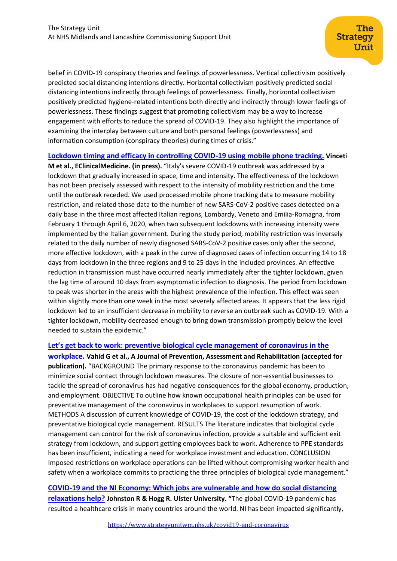belief in COVID-19 conspiracy theories and feelings of powerlessness. Vertical collectivism positively predicted social distancing intentions directly. Horizontal collectivism positively predicted social distancing intentions indirectly through feelings of powerlessness. Finally, horizontal collectivism positively predicted hygiene-related intentions both directly and indirectly through lower feelings of powerlessness. These findings suggest that promoting collectivism may be a way to increase engagement with efforts to reduce the spread of COVID-19. They also highlight the importance of examining the interplay between culture and both personal feelings (powerlessness) and information consumption (conspiracy theories) during times of crisis."

**[Lockdown timing and efficacy in controlling COVID-19 using mobile phone tracking.](https://www.sciencedirect.com/science/article/pii/S2589537020302017) Vinceti** 

**M et al., EClinicalMedicine. (in press).** "Italy's severe COVID-19 outbreak was addressed by a lockdown that gradually increased in space, time and intensity. The effectiveness of the lockdown has not been precisely assessed with respect to the intensity of mobility restriction and the time until the outbreak receded. We used processed mobile phone tracking data to measure mobility restriction, and related those data to the number of new SARS-CoV-2 positive cases detected on a daily base in the three most affected Italian regions, Lombardy, Veneto and Emilia-Romagna, from February 1 through April 6, 2020, when two subsequent lockdowns with increasing intensity were implemented by the Italian government. During the study period, mobility restriction was inversely related to the daily number of newly diagnosed SARS-CoV-2 positive cases only after the second, more effective lockdown, with a peak in the curve of diagnosed cases of infection occurring 14 to 18 days from lockdown in the three regions and 9 to 25 days in the included provinces. An effective reduction in transmission must have occurred nearly immediately after the tighter lockdown, given the lag time of around 10 days from asymptomatic infection to diagnosis. The period from lockdown to peak was shorter in the areas with the highest prevalence of the infection. This effect was seen within slightly more than one week in the most severely affected areas. It appears that the less rigid lockdown led to an insufficient decrease in mobility to reverse an outbreak such as COVID-19. With a tighter lockdown, mobility decreased enough to bring down transmission promptly below the level needed to sustain the epidemic."

#### **[Let's get back to work: preventive biological cycle management of coronavirus in the](https://hira.hope.ac.uk/id/eprint/3097/)**

**[workplace.](https://hira.hope.ac.uk/id/eprint/3097/) Vahid G et al., A Journal of Prevention, Assessment and Rehabilitation (accepted for publication).** "BACKGROUND The primary response to the coronavirus pandemic has been to minimize social contact through lockdown measures. The closure of non-essential businesses to tackle the spread of coronavirus has had negative consequences for the global economy, production, and employment. OBJECTIVE To outline how known occupational health principles can be used for preventative management of the coronavirus in workplaces to support resumption of work. METHODS A discussion of current knowledge of COVID-19, the cost of the lockdown strategy, and preventative biological cycle management. RESULTS The literature indicates that biological cycle management can control for the risk of coronavirus infection, provide a suitable and sufficient exit strategy from lockdown, and support getting employees back to work. Adherence to PPE standards has been insufficient, indicating a need for workplace investment and education. CONCLUSION Imposed restrictions on workplace operations can be lifted without compromising worker health and safety when a workplace commits to practicing the three principles of biological cycle management."

**[COVID-19 and the NI Economy: Which jobs are vulnerable and how do social distancing](https://www.ulster.ac.uk/__data/assets/pdf_file/0020/603074/COVID-19-and-the-NI-Economy_Report.pdf)  [relaxations help?](https://www.ulster.ac.uk/__data/assets/pdf_file/0020/603074/COVID-19-and-the-NI-Economy_Report.pdf) Johnston R & Hogg R. Ulster University. "The global COVID-19 pandemic has** resulted a healthcare crisis in many countries around the world. NI has been impacted significantly,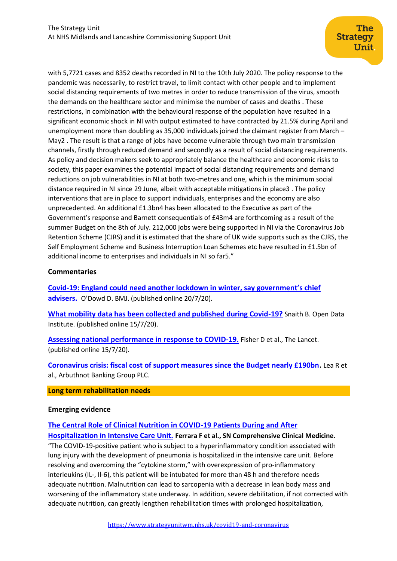with 5,7721 cases and 8352 deaths recorded in NI to the 10th July 2020. The policy response to the pandemic was necessarily, to restrict travel, to limit contact with other people and to implement social distancing requirements of two metres in order to reduce transmission of the virus, smooth the demands on the healthcare sector and minimise the number of cases and deaths . These restrictions, in combination with the behavioural response of the population have resulted in a significant economic shock in NI with output estimated to have contracted by 21.5% during April and unemployment more than doubling as 35,000 individuals joined the claimant register from March – May2 . The result is that a range of jobs have become vulnerable through two main transmission channels, firstly through reduced demand and secondly as a result of social distancing requirements. As policy and decision makers seek to appropriately balance the healthcare and economic risks to society, this paper examines the potential impact of social distancing requirements and demand reductions on job vulnerabilities in NI at both two-metres and one, which is the minimum social distance required in NI since 29 June, albeit with acceptable mitigations in place3 . The policy interventions that are in place to support individuals, enterprises and the economy are also unprecedented. An additional £1.3bn4 has been allocated to the Executive as part of the Government's response and Barnett consequentials of £43m4 are forthcoming as a result of the summer Budget on the 8th of July. 212,000 jobs were being supported in NI via the Coronavirus Job Retention Scheme (CJRS) and it is estimated that the share of UK wide supports such as the CJRS, the Self Employment Scheme and Business Interruption Loan Schemes etc have resulted in £1.5bn of additional income to enterprises and individuals in NI so far5."

# **Commentaries**

**Covid-[19: England could need another lockdown in winter, say government's chief](https://www.bmj.com/content/370/bmj.m2909)  [advisers.](https://www.bmj.com/content/370/bmj.m2909)** O'Dowd D. BMJ. (published online 20/7/20).

**[What mobility data has been collected and published during Covid-19?](https://theodi.org/article/what-mobility-data-has-been-collected-and-published-during-covid-19/?mc_cid=cc9a4cbd3e&mc_eid=6f4d4f3b88)** Snaith B. Open Data Institute. (published online 15/7/20).

**[Assessing national performance in response to COVID-19.](https://www.ncbi.nlm.nih.gov/pmc/articles/PMC7363426/pdf/main.pdf)** Fisher D et al., The Lancet. (published online 15/7/20).

**[Coronavirus crisis: fiscal cost of support measures since the Budget nearly £190bn.](http://www.arbuthnotgroup.com/upload/marketmatter/documents/13_july_2020.pdf)** Lea R et al., Arbuthnot Banking Group PLC.

#### **Long term rehabilitation needs**

# **Emerging evidence**

**[The Central Role of Clinical Nutrition in COVID-19 Patients During and After](https://link.springer.com/content/pdf/10.1007/s42399-020-00410-0.pdf)** 

**[Hospitalization in Intensive Care Unit.](https://link.springer.com/content/pdf/10.1007/s42399-020-00410-0.pdf) Ferrara F et al., SN Comprehensive Clinical Medicine**. "The COVID-19-positive patient who is subject to a hyperinflammatory condition associated with lung injury with the development of pneumonia is hospitalized in the intensive care unit. Before resolving and overcoming the "cytokine storm," with overexpression of pro-inflammatory interleukins (IL-, Il-6), this patient will be intubated for more than 48 h and therefore needs adequate nutrition. Malnutrition can lead to sarcopenia with a decrease in lean body mass and worsening of the inflammatory state underway. In addition, severe debilitation, if not corrected with adequate nutrition, can greatly lengthen rehabilitation times with prolonged hospitalization,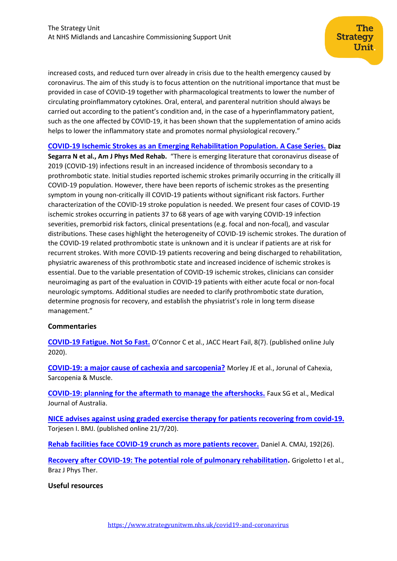increased costs, and reduced turn over already in crisis due to the health emergency caused by coronavirus. The aim of this study is to focus attention on the nutritional importance that must be provided in case of COVID-19 together with pharmacological treatments to lower the number of circulating proinflammatory cytokines. Oral, enteral, and parenteral nutrition should always be carried out according to the patient's condition and, in the case of a hyperinflammatory patient, such as the one affected by COVID-19, it has been shown that the supplementation of amino acids helps to lower the inflammatory state and promotes normal physiological recovery."

**[COVID-19 Ischemic Strokes as an Emerging Rehabilitation Population. A Case Series.](https://journals.lww.com/ajpmr/Abstract/9000/COVID_19_Ischemic_Strokes_as_an_Emerging.97926.aspx) Diaz** 

**Segarra N et al., Am J Phys Med Rehab.** "There is emerging literature that coronavirus disease of 2019 (COVID-19) infections result in an increased incidence of thrombosis secondary to a prothrombotic state. Initial studies reported ischemic strokes primarily occurring in the critically ill COVID-19 population. However, there have been reports of ischemic strokes as the presenting symptom in young non-critically ill COVID-19 patients without significant risk factors. Further characterization of the COVID-19 stroke population is needed. We present four cases of COVID-19 ischemic strokes occurring in patients 37 to 68 years of age with varying COVID-19 infection severities, premorbid risk factors, clinical presentations (e.g. focal and non-focal), and vascular distributions. These cases highlight the heterogeneity of COVID-19 ischemic strokes. The duration of the COVID-19 related prothrombotic state is unknown and it is unclear if patients are at risk for recurrent strokes. With more COVID-19 patients recovering and being discharged to rehabilitation, physiatric awareness of this prothrombotic state and increased incidence of ischemic strokes is essential. Due to the variable presentation of COVID-19 ischemic strokes, clinicians can consider neuroimaging as part of the evaluation in COVID-19 patients with either acute focal or non-focal neurologic symptoms. Additional studies are needed to clarify prothrombotic state duration, determine prognosis for recovery, and establish the physiatrist's role in long term disease management."

# **Commentaries**

**[COVID-19 Fatigue. Not So Fast.](https://www.ncbi.nlm.nih.gov/pmc/articles/PMC7269935/)** O'Connor C et al., JACC Heart Fail, 8(7). (published online July 2020).

**[COVID-19: a major cause of cachexia and sarcopenia?](https://onlinelibrary.wiley.com/doi/pdf/10.1002/jcsm.12589)** Morley JE et al., Jorunal of Cahexia, Sarcopenia & Muscle.

**[COVID-19: planning for the aftermath to manage the aftershocks.](https://www.mja.com.au/system/files/issues/213_02/mja250685.pdf)** Faux SG et al., Medical Journal of Australia.

**[NICE advises against using graded exercise therapy for patients recovering from covid-19.](https://www.bmj.com/content/370/bmj.m2912)** Torjesen I. BMJ. (published online 21/7/20).

**[Rehab facilities face COVID-19 crunch as more patients recover.](https://www.cmaj.ca/content/192/26/E732.long)** Daniel A. CMAJ, 192(26).

**[Recovery after COVID-19: The potential role of pulmonary rehabilitation.](https://www.ncbi.nlm.nih.gov/pmc/articles/PMC7368839/)** Grigoletto I et al., Braz J Phys Ther.

# **Useful resources**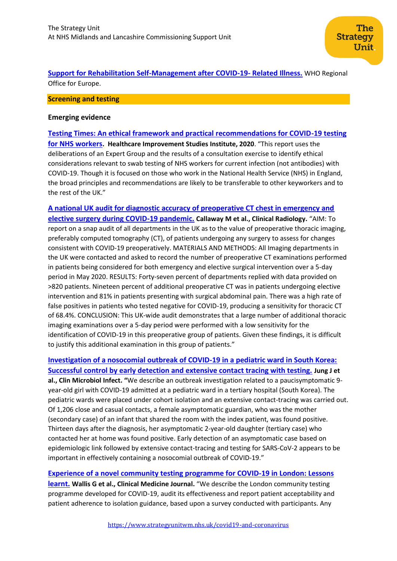**[Support for Rehabilitation Self-Management after COVID-19-](https://apps.who.int/iris/bitstream/handle/10665/333287/WHO-EURO-2020-855-40590-54571-eng.pdf) Related Illness.** WHO Regional Office for Europe.

#### <span id="page-7-0"></span>**Screening and testing**

#### **Emerging evidence**

**[Testing Times: An ethical framework and practical recommendations for COVID-19 testing](https://mk0thisinstitut0r1om.kinstacdn.com/wp-content/uploads/2020/07/Testing-times_Report_2020-07-21.pdf)  [for NHS workers](https://mk0thisinstitut0r1om.kinstacdn.com/wp-content/uploads/2020/07/Testing-times_Report_2020-07-21.pdf). Healthcare Improvement Studies Institute, 2020**. "This report uses the deliberations of an Expert Group and the results of a consultation exercise to identify ethical considerations relevant to swab testing of NHS workers for current infection (not antibodies) with COVID-19. Though it is focused on those who work in the National Health Service (NHS) in England, the broad principles and recommendations are likely to be transferable to other keyworkers and to the rest of the UK."

**[A national UK audit for diagnostic accuracy of preoperative CT chest in emergency and](https://www.clinicalradiologyonline.net/article/S0009-9260(20)30225-7/pdf)  [elective surgery during COVID-19 pandemic.](https://www.clinicalradiologyonline.net/article/S0009-9260(20)30225-7/pdf) Callaway M et al., Clinical Radiology.** "AIM: To report on a snap audit of all departments in the UK as to the value of preoperative thoracic imaging, preferably computed tomography (CT), of patients undergoing any surgery to assess for changes consistent with COVID-19 preoperatively. MATERIALS AND METHODS: All Imaging departments in the UK were contacted and asked to record the number of preoperative CT examinations performed in patients being considered for both emergency and elective surgical intervention over a 5-day period in May 2020. RESULTS: Forty-seven percent of departments replied with data provided on >820 patients. Nineteen percent of additional preoperative CT was in patients undergoing elective intervention and 81% in patients presenting with surgical abdominal pain. There was a high rate of false positives in patients who tested negative for COVID-19, producing a sensitivity for thoracic CT of 68.4%. CONCLUSION: This UK-wide audit demonstrates that a large number of additional thoracic imaging examinations over a 5-day period were performed with a low sensitivity for the identification of COVID-19 in this preoperative group of patients. Given these findings, it is difficult to justify this additional examination in this group of patients."

**[Investigation of a nosocomial outbreak of COVID-19 in a pediatric ward in South Korea:](https://europepmc.org/article/pmc/pmc7315989#free-full-text)  [Successful control by early detection and extensive contact tracing with testing.](https://europepmc.org/article/pmc/pmc7315989#free-full-text) Jung J et al., Clin Microbiol Infect. "**We describe an outbreak investigation related to a paucisymptomatic 9 year-old girl with COVID-19 admitted at a pediatric ward in a tertiary hospital (South Korea). The pediatric wards were placed under cohort isolation and an extensive contact-tracing was carried out. Of 1,206 close and casual contacts, a female asymptomatic guardian, who was the mother (secondary case) of an infant that shared the room with the index patient, was found positive. Thirteen days after the diagnosis, her asymptomatic 2-year-old daughter (tertiary case) who contacted her at home was found positive. Early detection of an asymptomatic case based on epidemiologic link followed by extensive contact-tracing and testing for SARS-CoV-2 appears to be important in effectively containing a nosocomial outbreak of COVID-19."

**[Experience of a novel community testing programme for COVID-19 in London: Lessons](https://www.rcpjournals.org/content/clinmedicine/early/2020/07/17/clinmed.2020-0436)  [learnt.](https://www.rcpjournals.org/content/clinmedicine/early/2020/07/17/clinmed.2020-0436)** Wallis G et al., Clinical Medicine Journal. "We describe the London community testing programme developed for COVID-19, audit its effectiveness and report patient acceptability and patient adherence to isolation guidance, based upon a survey conducted with participants. Any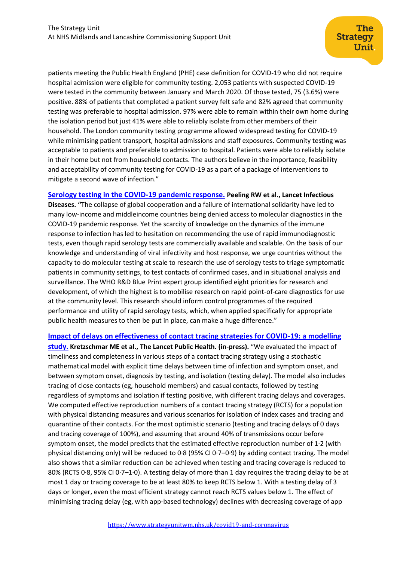patients meeting the Public Health England (PHE) case definition for COVID-19 who did not require hospital admission were eligible for community testing. 2,053 patients with suspected COVID-19 were tested in the community between January and March 2020. Of those tested, 75 (3.6%) were positive. 88% of patients that completed a patient survey felt safe and 82% agreed that community testing was preferable to hospital admission. 97% were able to remain within their own home during the isolation period but just 41% were able to reliably isolate from other members of their household. The London community testing programme allowed widespread testing for COVID-19 while minimising patient transport, hospital admissions and staff exposures. Community testing was acceptable to patients and preferable to admission to hospital. Patients were able to reliably isolate in their home but not from household contacts. The authors believe in the importance, feasibility and acceptability of community testing for COVID-19 as a part of a package of interventions to mitigate a second wave of infection."

# **[Serology testing in the COVID-19 pandemic response.](https://www.thelancet.com/action/showPdf?pii=S1473-3099%2820%2930517-X) Peeling RW et al., Lancet Infectious**

**Diseases. "**The collapse of global cooperation and a failure of international solidarity have led to many low-income and middleincome countries being denied access to molecular diagnostics in the COVID-19 pandemic response. Yet the scarcity of knowledge on the dynamics of the immune response to infection has led to hesitation on recommending the use of rapid immunodiagnostic tests, even though rapid serology tests are commercially available and scalable. On the basis of our knowledge and understanding of viral infectivity and host response, we urge countries without the capacity to do molecular testing at scale to research the use of serology tests to triage symptomatic patients in community settings, to test contacts of confirmed cases, and in situational analysis and surveillance. The WHO R&D Blue Print expert group identified eight priorities for research and development, of which the highest is to mobilise research on rapid point-of-care diagnostics for use at the community level. This research should inform control programmes of the required performance and utility of rapid serology tests, which, when applied specifically for appropriate public health measures to then be put in place, can make a huge difference."

#### **[Impact of delays on effectiveness of contact tracing strategies for COVID-19: a modelling](https://www.sciencedirect.com/science/article/pii/S2468266720301572)**

**[study](https://www.sciencedirect.com/science/article/pii/S2468266720301572). Kretzschmar ME et al., The Lancet Public Health. (in-press).** "We evaluated the impact of timeliness and completeness in various steps of a contact tracing strategy using a stochastic mathematical model with explicit time delays between time of infection and symptom onset, and between symptom onset, diagnosis by testing, and isolation (testing delay). The model also includes tracing of close contacts (eg, household members) and casual contacts, followed by testing regardless of symptoms and isolation if testing positive, with different tracing delays and coverages. We computed effective reproduction numbers of a contact tracing strategy (RCTS) for a population with physical distancing measures and various scenarios for isolation of index cases and tracing and quarantine of their contacts. For the most optimistic scenario (testing and tracing delays of 0 days and tracing coverage of 100%), and assuming that around 40% of transmissions occur before symptom onset, the model predicts that the estimated effective reproduction number of 1·2 (with physical distancing only) will be reduced to 0·8 (95% CI 0·7–0·9) by adding contact tracing. The model also shows that a similar reduction can be achieved when testing and tracing coverage is reduced to 80% (RCTS 0·8, 95% CI 0·7–1·0). A testing delay of more than 1 day requires the tracing delay to be at most 1 day or tracing coverage to be at least 80% to keep RCTS below 1. With a testing delay of 3 days or longer, even the most efficient strategy cannot reach RCTS values below 1. The effect of minimising tracing delay (eg, with app-based technology) declines with decreasing coverage of app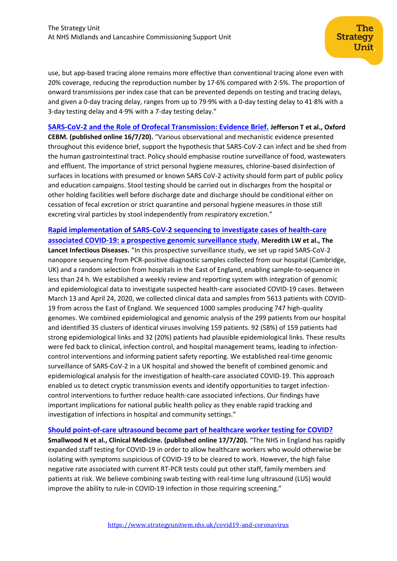The

use, but app-based tracing alone remains more effective than conventional tracing alone even with 20% coverage, reducing the reproduction number by 17·6% compared with 2·5%. The proportion of onward transmissions per index case that can be prevented depends on testing and tracing delays, and given a 0-day tracing delay, ranges from up to 79·9% with a 0-day testing delay to 41·8% with a 3-day testing delay and 4·9% with a 7-day testing delay."

#### **[SARS-CoV-2 and the Role of Orofecal Transmission: Evidence Brief.](https://www.cebm.net/covid-19/sars-cov-2-and-the-role-of-orofecal-transmission-evidence-brief/) Jefferson T et al., Oxford**

**CEBM. (published online 16/7/20).** "Various observational and mechanistic evidence presented throughout this evidence brief, support the hypothesis that SARS-CoV-2 can infect and be shed from the human gastrointestinal tract. Policy should emphasise routine surveillance of food, wastewaters and effluent. The importance of strict personal hygiene measures, chlorine-based disinfection of surfaces in locations with presumed or known SARS CoV-2 activity should form part of public policy and education campaigns. Stool testing should be carried out in discharges from the hospital or other holding facilities well before discharge date and discharge should be conditional either on cessation of fecal excretion or strict quarantine and personal hygiene measures in those still excreting viral particles by stool independently from respiratory excretion."

# **[Rapid implementation of SARS-CoV-2 sequencing to investigate cases of health-care](https://www.thelancet.com/journals/laninf/article/PIIS1473-3099(20)30562-4/fulltext)  [associated COVID-19: a prospective genomic surveillance study.](https://www.thelancet.com/journals/laninf/article/PIIS1473-3099(20)30562-4/fulltext) Meredith LW et al., The Lancet Infectious Diseases.** "In this prospective surveillance study, we set up rapid SARS-CoV-2 nanopore sequencing from PCR-positive diagnostic samples collected from our hospital (Cambridge, UK) and a random selection from hospitals in the East of England, enabling sample-to-sequence in less than 24 h. We established a weekly review and reporting system with integration of genomic and epidemiological data to investigate suspected health-care associated COVID-19 cases. Between March 13 and April 24, 2020, we collected clinical data and samples from 5613 patients with COVID-19 from across the East of England. We sequenced 1000 samples producing 747 high-quality genomes. We combined epidemiological and genomic analysis of the 299 patients from our hospital and identified 35 clusters of identical viruses involving 159 patients. 92 (58%) of 159 patients had strong epidemiological links and 32 (20%) patients had plausible epidemiological links. These results were fed back to clinical, infection control, and hospital management teams, leading to infectioncontrol interventions and informing patient safety reporting. We established real-time genomic surveillance of SARS-CoV-2 in a UK hospital and showed the benefit of combined genomic and epidemiological analysis for the investigation of health-care associated COVID-19. This approach enabled us to detect cryptic transmission events and identify opportunities to target infectioncontrol interventions to further reduce health-care associated infections. Our findings have important implications for national public health policy as they enable rapid tracking and investigation of infections in hospital and community settings."

#### **[Should point-of-care ultrasound become part of healthcare worker testing for COVID?](https://www.rcpjournals.org/content/clinmedicine/early/2020/07/17/clinmed.2020-0442)**

**Smallwood N et al., Clinical Medicine. (published online 17/7/20).** "The NHS in England has rapidly expanded staff testing for COVID-19 in order to allow healthcare workers who would otherwise be isolating with symptoms suspicious of COVID-19 to be cleared to work. However, the high false negative rate associated with current RT-PCR tests could put other staff, family members and patients at risk. We believe combining swab testing with real-time lung ultrasound (LUS) would improve the ability to rule-in COVID-19 infection in those requiring screening."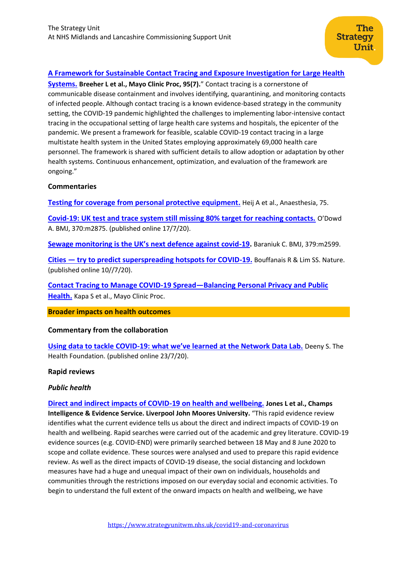# **[A Framework for Sustainable Contact Tracing and Exposure Investigation for Large Health](https://www.mayoclinicproceedings.org/article/S0025-6196(20)30481-X/pdf)**

**[Systems.](https://www.mayoclinicproceedings.org/article/S0025-6196(20)30481-X/pdf) Breeher L et al., Mayo Clinic Proc, 95(7).**" Contact tracing is a cornerstone of communicable disease containment and involves identifying, quarantining, and monitoring contacts of infected people. Although contact tracing is a known evidence-based strategy in the community setting, the COVID-19 pandemic highlighted the challenges to implementing labor-intensive contact tracing in the occupational setting of large health care systems and hospitals, the epicenter of the pandemic. We present a framework for feasible, scalable COVID-19 contact tracing in a large multistate health system in the United States employing approximately 69,000 health care personnel. The framework is shared with sufficient details to allow adoption or adaptation by other health systems. Continuous enhancement, optimization, and evaluation of the framework are ongoing."

#### **Commentaries**

**[Testing for coverage from personal protective equipment.](https://onlinelibrary.wiley.com/doi/pdfdirect/10.1111/anae.15079)** Heij A et al., Anaesthesia, 75.

**[Covid-19: UK test and trace system still missing 80% target for reaching contacts.](https://www.bmj.com/content/370/bmj.m2875)** O'Dowd A. BMJ, 370:m2875. (published online 17/7/20).

**Sewag[e monitoring is the UK's next defence against covid](https://www.bmj.com/content/370/bmj.m2599)-19.** Baraniuk C. BMJ, 379:m2599.

**Cities — [try to predict superspreading hotspots for COVID-19.](https://www.nature.com/articles/d41586-020-02072-3)** Bouffanais R & Lim SS. Nature. (published online 10//7/20).

**[Contact Tracing to Manage COVID-19 Spread](https://www.ncbi.nlm.nih.gov/pmc/articles/PMC7196395/pdf/main.pdf)—Balancing Personal Privacy and Public [Health.](https://www.ncbi.nlm.nih.gov/pmc/articles/PMC7196395/pdf/main.pdf)** Kapa S et al., Mayo Clinic Proc.

**Broader impacts on health outcomes**

#### **Commentary from the collaboration**

**Using data to tackle COVID-19: what we've l[earned at the Network Data Lab.](https://www.health.org.uk/news-and-comment/blogs/using-data-to-tackle-covid-19-what-we%E2%80%99ve-learned-at-the-network-data-lab)** Deeny S. The Health Foundation. (published online 23/7/20).

#### **Rapid reviews**

#### *Public health*

**[Direct and indirect impacts of COVID-19 on health and wellbeing.](https://www.ljmu.ac.uk/~/media/phi-reports/2020-07-direct-and-indirect-impacts-of-covid19-on-health-and-wellbeing.pdf) Jones L et al., Champs Intelligence & Evidence Service. Liverpool John Moores University.** "This rapid evidence review identifies what the current evidence tells us about the direct and indirect impacts of COVID-19 on health and wellbeing. Rapid searches were carried out of the academic and grey literature. COVID-19 evidence sources (e.g. COVID-END) were primarily searched between 18 May and 8 June 2020 to scope and collate evidence. These sources were analysed and used to prepare this rapid evidence review. As well as the direct impacts of COVID-19 disease, the social distancing and lockdown measures have had a huge and unequal impact of their own on individuals, households and communities through the restrictions imposed on our everyday social and economic activities. To begin to understand the full extent of the onward impacts on health and wellbeing, we have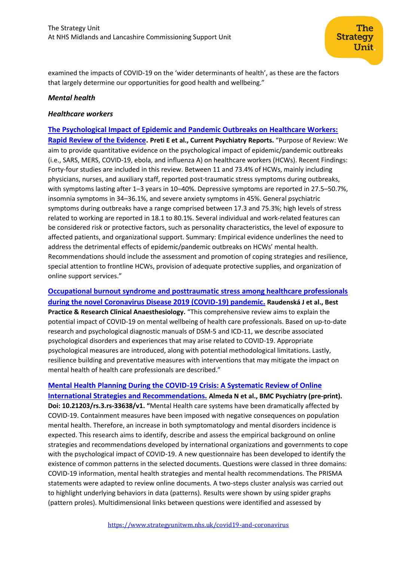examined the impacts of COVID-19 on the 'wider determinants of health', as these are the factors that largely determine our opportunities for good health and wellbeing."

#### *Mental health*

#### *Healthcare workers*

**[The Psychological Impact of Epidemic and Pandemic Outbreaks on Healthcare Workers:](https://www.ncbi.nlm.nih.gov/pmc/articles/PMC7350408/pdf/11920_2020_Article_1166.pdf)  [Rapid Review of the Evidence.](https://www.ncbi.nlm.nih.gov/pmc/articles/PMC7350408/pdf/11920_2020_Article_1166.pdf) Preti E et al., Current Psychiatry Reports.** "Purpose of Review: We aim to provide quantitative evidence on the psychological impact of epidemic/pandemic outbreaks (i.e., SARS, MERS, COVID-19, ebola, and influenza A) on healthcare workers (HCWs). Recent Findings: Forty-four studies are included in this review. Between 11 and 73.4% of HCWs, mainly including physicians, nurses, and auxiliary staff, reported post-traumatic stress symptoms during outbreaks, with symptoms lasting after 1–3 years in 10–40%. Depressive symptoms are reported in 27.5–50.7%, insomnia symptoms in 34–36.1%, and severe anxiety symptoms in 45%. General psychiatric symptoms during outbreaks have a range comprised between 17.3 and 75.3%; high levels of stress related to working are reported in 18.1 to 80.1%. Several individual and work-related features can be considered risk or protective factors, such as personality characteristics, the level of exposure to affected patients, and organizational support. Summary: Empirical evidence underlines the need to address the detrimental effects of epidemic/pandemic outbreaks on HCWs' mental health. Recommendations should include the assessment and promotion of coping strategies and resilience, special attention to frontline HCWs, provision of adequate protective supplies, and organization of online support services."

**[Occupational burnout syndrome and posttraumatic stress among healthcare professionals](https://reader.elsevier.com/reader/sd/pii/S152168962030063X?token=2FEC3FDDAB3CCEC88582D9CFDDB7906F02A554E854CFF4DED0387C69AC63DBBB0A63BF26458BF7851086F3F1C7F3248C)  [during the novel Coronavirus Disease 2019 \(COVID-19\) pandemic.](https://reader.elsevier.com/reader/sd/pii/S152168962030063X?token=2FEC3FDDAB3CCEC88582D9CFDDB7906F02A554E854CFF4DED0387C69AC63DBBB0A63BF26458BF7851086F3F1C7F3248C) Raudenská J et al., Best Practice & Research Clinical Anaesthesiology.** "This comprehensive review aims to explain the potential impact of COVID-19 on mental wellbeing of health care professionals. Based on up-to-date research and psychological diagnostic manuals of DSM-5 and ICD-11, we describe associated psychological disorders and experiences that may arise related to COVID-19. Appropriate psychological measures are introduced, along with potential methodological limitations. Lastly, resilience building and preventative measures with interventions that may mitigate the impact on mental health of health care professionals are described."

# **[Mental Health Planning During the COVID-19 Crisis: A Systematic Review of Online](https://assets.researchsquare.com/files/rs-33638/v1/7b39e901-6c31-4a8e-8fdf-faccd4f15941.pdf)**

**[International Strategies and Recommendations.](https://assets.researchsquare.com/files/rs-33638/v1/7b39e901-6c31-4a8e-8fdf-faccd4f15941.pdf) Almeda N et al., BMC Psychiatry (pre-print). Doi: 10.21203/rs.3.rs-33638/v1. "**Mental Health care systems have been dramatically affected by COVID-19. Containment measures have been imposed with negative consequences on population mental health. Therefore, an increase in both symptomatology and mental disorders incidence is expected. This research aims to identify, describe and assess the empirical background on online strategies and recommendations developed by international organizations and governments to cope with the psychological impact of COVID-19. A new questionnaire has been developed to identify the existence of common patterns in the selected documents. Questions were classed in three domains: COVID-19 information, mental health strategies and mental health recommendations. The PRISMA statements were adapted to review online documents. A two-steps cluster analysis was carried out to highlight underlying behaviors in data (patterns). Results were shown by using spider graphs (pattern proles). Multidimensional links between questions were identified and assessed by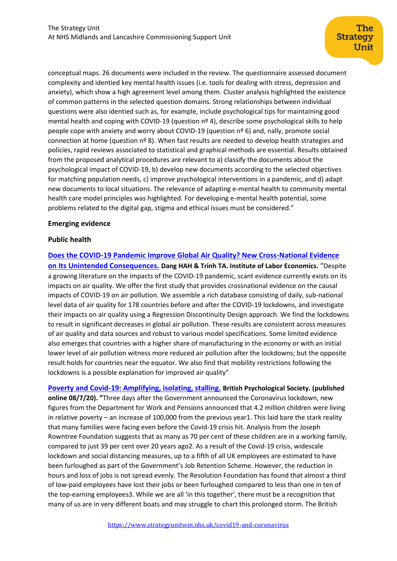conceptual maps. 26 documents were included in the review. The questionnaire assessed document complexity and identied key mental health issues (i.e. tools for dealing with stress, depression and anxiety), which show a high agreement level among them. Cluster analysis highlighted the existence of common patterns in the selected question domains. Strong relationships between individual questions were also identied such as, for example, include psychological tips for maintaining good mental health and coping with COVID-19 (question nº 4), describe some psychological skills to help people cope with anxiety and worry about COVID-19 (question nº 6) and, nally, promote social connection at home (question nº 8). When fast results are needed to develop health strategies and policies, rapid reviews associated to statistical and graphical methods are essential. Results obtained from the proposed analytical procedures are relevant to a) classify the documents about the psychological impact of COVID-19, b) develop new documents according to the selected objectives for matching population needs, c) improve psychological interventions in a pandemic, and d) adapt new documents to local situations. The relevance of adapting e-mental health to community mental health care model principles was highlighted. For developing e-mental health potential, some problems related to the digital gap, stigma and ethical issues must be considered."

#### **Emerging evidence**

# **Public health**

**[Does the COVID-19 Pandemic Improve Global Air Quality? New Cross-National Evidence](http://ftp.iza.org/dp13480.pdf)  [on Its Unintended Consequences.](http://ftp.iza.org/dp13480.pdf) Dang HAH & Trinh TA. Institute of Labor Economics.** "Despite a growing literature on the impacts of the COVID-19 pandemic, scant evidence currently exists on its impacts on air quality. We offer the first study that provides crossnational evidence on the causal impacts of COVID-19 on air pollution. We assemble a rich database consisting of daily, sub-national level data of air quality for 178 countries before and after the COVID-19 lockdowns, and investigate their impacts on air quality using a Regression Discontinuity Design approach. We find the lockdowns to result in significant decreases in global air pollution. These results are consistent across measures of air quality and data sources and robust to various model specifications. Some limited evidence also emerges that countries with a higher share of manufacturing in the economy or with an initial lower level of air pollution witness more reduced air pollution after the lockdowns; but the opposite result holds for countries near the equator. We also find that mobility restrictions following the lockdowns is a possible explanation for improved air quality"

**[Poverty and Covid-19: Amplifying, isolating, stalling.](https://www.bps.org.uk/sites/www.bps.org.uk/files/Policy/Policy%20-%20Files/Briefing%20paper%20-%20poverty%20and%20Covid-19.pdf) British Psychological Society. (published online 08/7/20). "**Three days after the Government announced the Coronavirus lockdown, new figures from the Department for Work and Pensions announced that 4.2 million children were living in relative poverty – an increase of 100,000 from the previous year1. This laid bare the stark reality that many families were facing even before the Covid-19 crisis hit. Analysis from the Joseph Rowntree Foundation suggests that as many as 70 per cent of these children are in a working family, compared to just 39 per cent over 20 years ago2. As a result of the Covid-19 crisis, widescale lockdown and social distancing measures, up to a fifth of all UK employees are estimated to have been furloughed as part of the Government's Job Retention Scheme. However, the reduction in hours and loss of jobs is not spread evenly. The Resolution Foundation has found that almost a third of low-paid employees have lost their jobs or been furloughed compared to less than one in ten of the top-earning employees3. While we are all 'in this together', there must be a recognition that many of us are in very different boats and may struggle to chart this prolonged storm. The British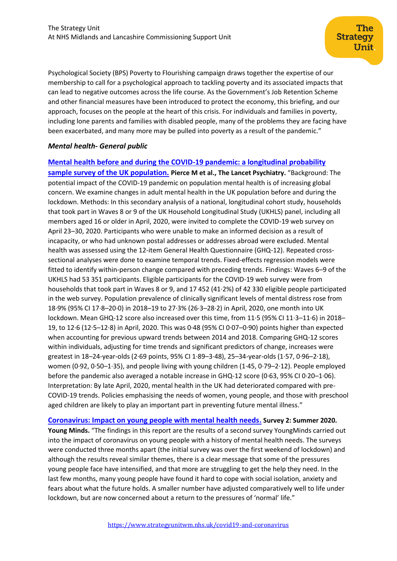Psychological Society (BPS) Poverty to Flourishing campaign draws together the expertise of our membership to call for a psychological approach to tackling poverty and its associated impacts that can lead to negative outcomes across the life course. As the Government's Job Retention Scheme and other financial measures have been introduced to protect the economy, this briefing, and our approach, focuses on the people at the heart of this crisis. For individuals and families in poverty, including lone parents and families with disabled people, many of the problems they are facing have been exacerbated, and many more may be pulled into poverty as a result of the pandemic."

# *Mental health***-** *General public*

# **[Mental health before and during the COVID-19 pandemic: a longitudinal probability](https://www.thelancet.com/journals/lanpsy/article/PIIS2215-0366(20)30308-4/fulltext)  [sample survey of the UK population.](https://www.thelancet.com/journals/lanpsy/article/PIIS2215-0366(20)30308-4/fulltext) Pierce M et al., The Lancet Psychiatry.** "Background: The potential impact of the COVID-19 pandemic on population mental health is of increasing global concern. We examine changes in adult mental health in the UK population before and during the lockdown. Methods: In this secondary analysis of a national, longitudinal cohort study, households that took part in Waves 8 or 9 of the UK Household Longitudinal Study (UKHLS) panel, including all members aged 16 or older in April, 2020, were invited to complete the COVID-19 web survey on April 23–30, 2020. Participants who were unable to make an informed decision as a result of incapacity, or who had unknown postal addresses or addresses abroad were excluded. Mental health was assessed using the 12-item General Health Questionnaire (GHQ-12). Repeated crosssectional analyses were done to examine temporal trends. Fixed-effects regression models were fitted to identify within-person change compared with preceding trends. Findings: Waves 6–9 of the UKHLS had 53 351 participants. Eligible participants for the COVID-19 web survey were from households that took part in Waves 8 or 9, and 17 452 (41 $\cdot$ 2%) of 42 330 eligible people participated in the web survey. Population prevalence of clinically significant levels of mental distress rose from 18·9% (95% CI 17·8–20·0) in 2018–19 to 27·3% (26·3–28·2) in April, 2020, one month into UK lockdown. Mean GHQ-12 score also increased over this time, from 11·5 (95% CI 11·3–11·6) in 2018– 19, to 12·6 (12·5–12·8) in April, 2020. This was 0·48 (95% CI 0·07–0·90) points higher than expected when accounting for previous upward trends between 2014 and 2018. Comparing GHQ-12 scores within individuals, adjusting for time trends and significant predictors of change, increases were greatest in 18–24-year-olds (2·69 points, 95% CI 1·89–3·48), 25–34-year-olds (1·57, 0·96–2·18), women (0·92, 0·50–1·35), and people living with young children (1·45, 0·79–2·12). People employed before the pandemic also averaged a notable increase in GHQ-12 score (0·63, 95% CI 0·20–1·06). Interpretation: By late April, 2020, mental health in the UK had deteriorated compared with pre-COVID-19 trends. Policies emphasising the needs of women, young people, and those with preschool aged children are likely to play an important part in preventing future mental illness."

**[Coronavirus: Impact on young people with mental health needs.](https://youngminds.org.uk/media/3904/coronavirus-report-summer-2020-final.pdf) Survey 2: Summer 2020. Young Minds.** "The findings in this report are the results of a second survey YoungMinds carried out into the impact of coronavirus on young people with a history of mental health needs. The surveys were conducted three months apart (the initial survey was over the first weekend of lockdown) and although the results reveal similar themes, there is a clear message that some of the pressures young people face have intensified, and that more are struggling to get the help they need. In the last few months, many young people have found it hard to cope with social isolation, anxiety and fears about what the future holds. A smaller number have adjusted comparatively well to life under lockdown, but are now concerned about a return to the pressures of 'normal' life."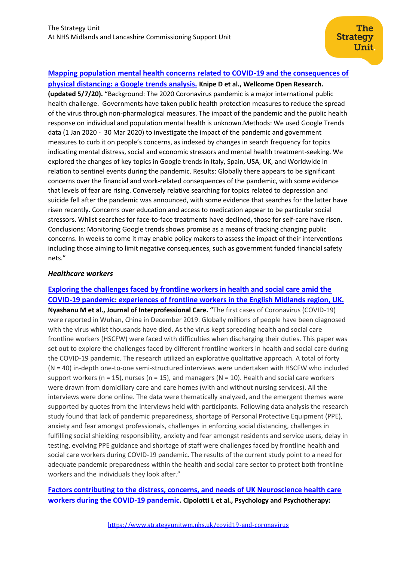# **Mapping [population mental health concerns related to COVID-19 and the consequences of](https://wellcomeopenresearch.org/articles/5-82/v2)**

**[physical distancing: a Google trends analysis.](https://wellcomeopenresearch.org/articles/5-82/v2) Knipe D et al., Wellcome Open Research. (updated 5/7/20).** "Background: The 2020 Coronavirus pandemic is a major international public health challenge. Governments have taken public health protection measures to reduce the spread of the virus through non-pharmalogical measures. The impact of the pandemic and the public health response on individual and population mental health is unknown.Methods: We used Google Trends data (1 Jan 2020 - 30 Mar 2020) to investigate the impact of the pandemic and government measures to curb it on people's concerns, as indexed by changes in search frequency for topics indicating mental distress, social and economic stressors and mental health treatment-seeking. We explored the changes of key topics in Google trends in Italy, Spain, USA, UK, and Worldwide in relation to sentinel events during the pandemic. Results: Globally there appears to be significant concerns over the financial and work-related consequences of the pandemic, with some evidence that levels of fear are rising. Conversely relative searching for topics related to depression and suicide fell after the pandemic was announced, with some evidence that searches for the latter have risen recently. Concerns over education and access to medication appear to be particular social stressors. Whilst searches for face-to-face treatments have declined, those for self-care have risen. Conclusions: Monitoring Google trends shows promise as a means of tracking changing public concerns. In weeks to come it may enable policy makers to assess the impact of their interventions including those aiming to limit negative consequences, such as government funded financial safety nets."

#### *Healthcare workers*

**[Exploring the challenges faced by frontline workers in health and social care amid the](https://www.tandfonline.com/doi/full/10.1080/13561820.2020.1792425)  COVID-19 pandemic: experiences [of frontline workers in the English Midlands region, UK.](https://www.tandfonline.com/doi/full/10.1080/13561820.2020.1792425) Nyashanu M et al., Journal of Interprofessional Care. "**The first cases of Coronavirus (COVID-19) were reported in Wuhan, China in December 2019. Globally millions of people have been diagnosed with the virus whilst thousands have died. As the virus kept spreading health and social care frontline workers (HSCFW) were faced with difficulties when discharging their duties. This paper was set out to explore the challenges faced by different frontline workers in health and social care during the COVID-19 pandemic. The research utilized an explorative qualitative approach. A total of forty (N = 40) in-depth one-to-one semi-structured interviews were undertaken with HSCFW who included support workers (n = 15), nurses (n = 15), and managers (N = 10). Health and social care workers were drawn from domiciliary care and care homes (with and without nursing services). All the interviews were done online. The data were thematically analyzed, and the emergent themes were supported by quotes from the interviews held with participants. Following data analysis the research study found that lack of pandemic preparedness, **s**hortage of Personal Protective Equipment (PPE), anxiety and fear amongst professionals, challenges in enforcing social distancing, challenges in fulfilling social shielding responsibility, anxiety and fear amongst residents and service users, delay in testing, evolving PPE guidance and shortage of staff were challenges faced by frontline health and social care workers during COVID-19 pandemic. The results of the current study point to a need for adequate pandemic preparedness within the health and social care sector to protect both frontline workers and the individuals they look after."

# **[Factors contributing to the distress, concerns, and needs of UK Neuroscience health care](https://onlinelibrary.wiley.com/doi/full/10.1111/papt.12298)  [workers during the COVID‐19 pandemic](https://onlinelibrary.wiley.com/doi/full/10.1111/papt.12298). Cipolotti L et al., Psychology and Psychotherapy:**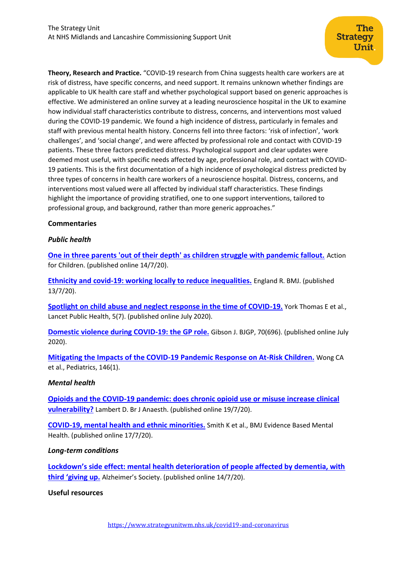**Theory, Research and Practice.** "COVID‐19 research from China suggests health care workers are at risk of distress, have specific concerns, and need support. It remains unknown whether findings are applicable to UK health care staff and whether psychological support based on generic approaches is effective. We administered an online survey at a leading neuroscience hospital in the UK to examine how individual staff characteristics contribute to distress, concerns, and interventions most valued during the COVID‐19 pandemic. We found a high incidence of distress, particularly in females and staff with previous mental health history. Concerns fell into three factors: 'risk of infection', 'work challenges', and 'social change', and were affected by professional role and contact with COVID‐19 patients. These three factors predicted distress. Psychological support and clear updates were deemed most useful, with specific needs affected by age, professional role, and contact with COVID‐ 19 patients. This is the first documentation of a high incidence of psychological distress predicted by three types of concerns in health care workers of a neuroscience hospital. Distress, concerns, and interventions most valued were all affected by individual staff characteristics. These findings highlight the importance of providing stratified, one to one support interventions, tailored to professional group, and background, rather than more generic approaches."

# **Commentaries**

#### *Public health*

**[One in three parents 'out of their depth' as children struggle with pandemic fallout.](https://www.actionforchildren.org.uk/news-and-blogs/press-releases/2020/july/one-in-three-parents-out-of-their-depth-as-children-struggle-with-pandemic-fallout/)** Action for Children. (published online 14/7/20).

**[Ethnicity and covid-19: working locally to reduce inequalities.](https://www.bmj.com/content/370/bmj.m2748.full)** England R. BMJ. (published 13/7/20).

**[Spotlight on child abuse and neglect response in the time of COVID-19.](https://www.ncbi.nlm.nih.gov/pmc/articles/PMC7326432/pdf/main.pdf)** York Thomas E et al., Lancet Public Health, 5(7). (published online July 2020).

**[Domestic violence during COVID-19: the GP role.](https://bjgp.org/content/70/696/340)** Gibson J. BJGP, 70(696). (published online July 2020).

**[Mitigating the Impacts of the COVID-19 Pandemic Response on At-Risk Children.](https://pubmed.ncbi.nlm.nih.gov/32317311/)** Wong CA et al., Pediatrics, 146(1).

#### *Mental health*

**Opioids and the COVID-19 pandemic: does [chronic opioid use or misuse increase clinical](https://www.ncbi.nlm.nih.gov/pmc/articles/PMC7368905/)  [vulnerability?](https://www.ncbi.nlm.nih.gov/pmc/articles/PMC7368905/)** Lambert D. Br J Anaesth. (published online 19/7/20).

**[COVID-19, mental health and ethnic minorities.](https://ebmh.bmj.com/content/ebmental/early/2020/07/16/ebmental-2020-300174.full.pdf)** Smith K et al., BMJ Evidence Based Mental Health. (published online 17/7/20).

#### *Long-term conditions*

**Lockdo[wn's side effect: mental health deterioration of people affected by dementia, with](https://www.alzheimers.org.uk/news/2020-07-14/lockdowns-side-effect-mental-health-deterioration-people-affected-dementia-third)  [third 'giving up.](https://www.alzheimers.org.uk/news/2020-07-14/lockdowns-side-effect-mental-health-deterioration-people-affected-dementia-third)** Alzheimer's Society. (published online 14/7/20).

#### **Useful resources**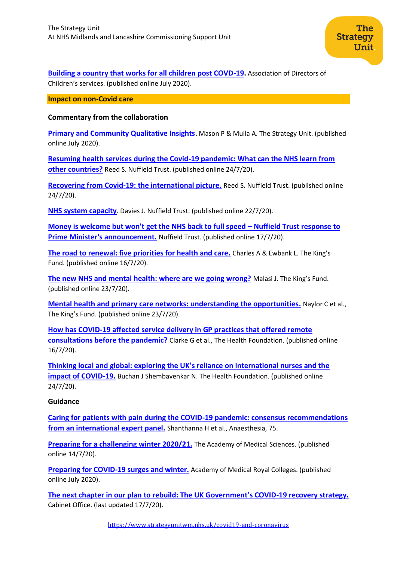**[Building a country that works for all children post COVD-19.](https://adcs.org.uk/assets/documentation/ADCS_Building_a_country_that_works_for_all_children_post_Covid-19.pdf)** Association of Directors of Children's services. (published online July 2020).

**Impact on non-Covid care**

#### **Commentary from the collaboration**

**[Primary and Community Qualitative Insights](https://www.strategyunitwm.nhs.uk/publications/primary-and-community-care-qualitative-insights).** Mason P & Mulla A. The Strategy Unit. (published online July 2020).

**[Resuming health services during the Covid-19 pandemic: What can the NHS learn from](https://www.nuffieldtrust.org.uk/research/resuming-health-services-during-the-covid-19-pandemic-what-can-the-nhs-learn-from-other-countries)  [other countries?](https://www.nuffieldtrust.org.uk/research/resuming-health-services-during-the-covid-19-pandemic-what-can-the-nhs-learn-from-other-countries)** Reed S. Nuffield Trust. (published online 24/7/20).

**[Recovering from Covid-19: the international picture.](https://www.nuffieldtrust.org.uk/news-item/recovering-from-covid-19-the-international-picture)** Reed S. Nuffield Trust. (published online 24/7/20).

**[NHS system capacity](https://www.nuffieldtrust.org.uk/news-item/nhs-system-capacity-2)**. Davies J. Nuffield Trust. (published online 22/7/20).

**[Money is welcome but won't get the NHS back to full speed](https://www.nuffieldtrust.org.uk/news-item/money-is-welcome-but-won-t-get-the-nhs-back-to-full-speed-nuffield-trust-response-to-prime-minister-s-announcement) – Nuffield Trust response to [Prime Minister's announcement.](https://www.nuffieldtrust.org.uk/news-item/money-is-welcome-but-won-t-get-the-nhs-back-to-full-speed-nuffield-trust-response-to-prime-minister-s-announcement)** Nuffield Trust. (published online 17/7/20).

**[The road to renewal: five priorities for health and care.](https://www.kingsfund.org.uk/publications/covid-19-road-renewal-health-and-care?utm_source=The%20King%27s%20Fund%20newsletters%20%28main%20account%29&utm_medium=email&utm_campaign=11685907_MKPUB_road%20to%20renewal%20long%20read%20generic%202020-07-16&utm_content=text%20link&dm_i=21A8,6YGWJ,LTECS5,RZVQC,1)** Charles A & Ewbank L. The King's Fund. (published online 16/7/20).

**[The new NHS and mental health: where are we going wrong?](https://www.kingsfund.org.uk/blog/2020/07/new-nhs-and-mental-health)** Malasi J. The King's Fund. (published online 23/7/20).

**[Mental health and primary care networks: understanding the opportunities.](https://www.kingsfund.org.uk/publications/mental-health-primary-care-networks)** Naylor C et al., The King's Fund. (published online 23/7/20).

**[How has COVID-19 affected service delivery in GP practices that offered remote](https://www.health.org.uk/news-and-comment/charts-and-infographics/how-has-covid-19-affected-service-delivery-in-gp-practices)  [consultations before the pandemic?](https://www.health.org.uk/news-and-comment/charts-and-infographics/how-has-covid-19-affected-service-delivery-in-gp-practices)** Clarke G et al., The Health Foundation. (published online 16/7/20).

**Thinking local and global: exp[loring the UK's reliance on international nurses and the](https://www.health.org.uk/news-and-comment/charts-and-infographics/thinking-local-and-global-exploring-the-uks-reliance-on-international-nurses)  [impact of COVID-19.](https://www.health.org.uk/news-and-comment/charts-and-infographics/thinking-local-and-global-exploring-the-uks-reliance-on-international-nurses)** Buchan J Shembavenkar N. The Health Foundation. (published online 24/7/20).

#### **Guidance**

**[Caring for patients with pain during the COVID-19 pandemic: consensus recommendations](https://onlinelibrary.wiley.com/doi/pdfdirect/10.1111/anae.15076)  [from an international expert panel.](https://onlinelibrary.wiley.com/doi/pdfdirect/10.1111/anae.15076)** Shanthanna H et al., Anaesthesia, 75.

**[Preparing for a challenging winter 2020/21.](https://acmedsci.ac.uk/file-download/51353957)** The Academy of Medical Sciences. (published online 14/7/20).

**[Preparing for COVID-19 surges and winter.](https://www.fsem.ac.uk/wp-content/uploads/2020/06/200717_Preparing_for_covid-19_surges_winter.pdf)** Academy of Medical Royal Colleges. (published online July 2020).

**[The next chapter in our plan to rebuild: The UK Government's COVID](https://www.gov.uk/government/publications/our-plan-to-rebuild-the-uk-governments-covid-19-recovery-strategy/the-next-chapter-in-our-plan-to-rebuild-the-uk-governments-covid-19-recovery-strategy--2)-19 recovery strategy.** Cabinet Office. (last updated 17/7/20).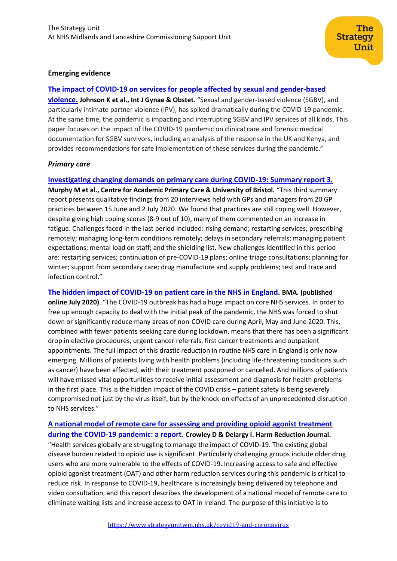#### **Emerging evidence**

#### **[The impact of COVID‐19 on services for people affected by sexual and gender‐based](https://obgyn.onlinelibrary.wiley.com/doi/full/10.1002/ijgo.13285)**

**[violence.](https://obgyn.onlinelibrary.wiley.com/doi/full/10.1002/ijgo.13285) Johnson K et al., Int J Gynae & Obstet.** "Sexual and gender‐based violence (SGBV), and particularly intimate partner violence (IPV), has spiked dramatically during the COVID‐19 pandemic. At the same time, the pandemic is impacting and interrupting SGBV and IPV services of all kinds. This paper focuses on the impact of the COVID‐19 pandemic on clinical care and forensic medical documentation for SGBV survivors, including an analysis of the response in the UK and Kenya, and provides recommendations for safe implementation of these services during the pandemic."

#### *Primary care*

#### **[Investigating changing demands on primary care during COVID-19: Summary report 3.](https://arc-w.nihr.ac.uk/research-and-implementation/covid-19-response/reports/investigating-changing-demands-on-primary-care-during-covid-19-summary-report-3/)**

**Murphy M et al., Centre for Academic Primary Care & University of Bristol.** "This third summary report presents qualitative findings from 20 interviews held with GPs and managers from 20 GP practices between 15 June and 2 July 2020. We found that practices are still coping well. However, despite giving high coping scores (8-9 out of 10), many of them commented on an increase in fatigue. Challenges faced in the last period included: rising demand; restarting services; prescribing remotely; managing long-term conditions remotely; delays in secondary referrals; managing patient expectations; mental load on staff; and the shielding list. New challenges identified in this period are: restarting services; continuation of pre-COVID-19 plans; online triage consultations; planning for winter; support from secondary care; drug manufacture and supply problems; test and trace and infection control."

**[The hidden impact of COVID-19 on patient care in the NHS in England.](https://www.bma.org.uk/media/2841/the-hidden-impact-of-covid_web-pdf.pdf) BMA. (published online July 2020)**. "The COVID-19 outbreak has had a huge impact on core NHS services. In order to free up enough capacity to deal with the initial peak of the pandemic, the NHS was forced to shut down or significantly reduce many areas of non-COVID care during April, May and June 2020. This, combined with fewer patients seeking care during lockdown, means that there has been a significant drop in elective procedures, urgent cancer referrals, first cancer treatments and outpatient appointments. The full impact of this drastic reduction in routine NHS care in England is only now emerging. Millions of patients living with health problems (including life-threatening conditions such as cancer) have been affected, with their treatment postponed or cancelled. And millions of patients will have missed vital opportunities to receive initial assessment and diagnosis for health problems in the first place. This is the hidden impact of the COVID crisis – patient safety is being severely compromised not just by the virus itself, but by the knock-on effects of an unprecedented disruption to NHS services."

# **[A national model of remote care for assessing and providing opioid agonist treatment](https://harmreductionjournal.biomedcentral.com/articles/10.1186/s12954-020-00394-z)  [during the COVID-19 pandemic: a report.](https://harmreductionjournal.biomedcentral.com/articles/10.1186/s12954-020-00394-z) Crowley D & Delargy I. Harm Reduction Journal.**

"Health services globally are struggling to manage the impact of COVID-19. The existing global disease burden related to opioid use is significant. Particularly challenging groups include older drug users who are more vulnerable to the effects of COVID-19. Increasing access to safe and effective opioid agonist treatment (OAT) and other harm reduction services during this pandemic is critical to reduce risk. In response to COVID-19, healthcare is increasingly being delivered by telephone and video consultation, and this report describes the development of a national model of remote care to eliminate waiting lists and increase access to OAT in Ireland. The purpose of this initiative is to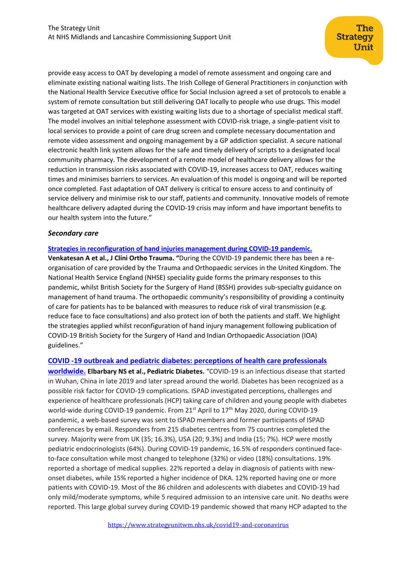provide easy access to OAT by developing a model of remote assessment and ongoing care and eliminate existing national waiting lists. The Irish College of General Practitioners in conjunction with the National Health Service Executive office for Social Inclusion agreed a set of protocols to enable a system of remote consultation but still delivering OAT locally to people who use drugs. This model was targeted at OAT services with existing waiting lists due to a shortage of specialist medical staff. The model involves an initial telephone assessment with COVID-risk triage, a single-patient visit to local services to provide a point of care drug screen and complete necessary documentation and remote video assessment and ongoing management by a GP addiction specialist. A secure national electronic health link system allows for the safe and timely delivery of scripts to a designated local community pharmacy. The development of a remote model of healthcare delivery allows for the reduction in transmission risks associated with COVID-19, increases access to OAT, reduces waiting times and minimises barriers to services. An evaluation of this model is ongoing and will be reported once completed. Fast adaptation of OAT delivery is critical to ensure access to and continuity of service delivery and minimise risk to our staff, patients and community. Innovative models of remote healthcare delivery adapted during the COVID-19 crisis may inform and have important benefits to our health system into the future."

#### *Secondary care*

#### **[Strategies in reconfiguration of hand injuries management during COVID-19 pandemic.](https://www.journal-cot.com/article/S0976-5662(20)30207-1/pdf)**

**Venkatesan A et al., J Clini Ortho Trauma. "**During the COVID-19 pandemic there has been a reorganisation of care provided by the Trauma and Orthopaedic services in the United Kingdom. The National Health Service England (NHSE) speciality guide forms the primary responses to this pandemic, whilst British Society for the Surgery of Hand (BSSH) provides sub-specialty guidance on management of hand trauma. The orthopaedic community's responsibility of providing a continuity of care for patients has to be balanced with measures to reduce risk of viral transmission (e.g. reduce face to face consultations) and also protect ion of both the patients and staff. We highlight the strategies applied whilst reconfiguration of hand injury management following publication of COVID-19 British Society for the Surgery of Hand and Indian Orthopaedic Association (IOA) guidelines."

# **COVID ‐19 outbreak and pediatric [diabetes: perceptions of health care professionals](https://onlinelibrary.wiley.com/doi/abs/10.1111/pedi.13084)**

**[worldwide.](https://onlinelibrary.wiley.com/doi/abs/10.1111/pedi.13084) Elbarbary NS et al., Pediatric Diabetes.** "COVID‐19 is an infectious disease that started in Wuhan, China in late 2019 and later spread around the world. Diabetes has been recognized as a possible risk factor for COVID‐19 complications. ISPAD investigated perceptions, challenges and experience of healthcare professionals (HCP) taking care of children and young people with diabetes world-wide during COVID-19 pandemic. From 21<sup>st</sup> April to 17<sup>th</sup> May 2020, during COVID-19 pandemic, a web‐based survey was sent to ISPAD members and former participants of ISPAD conferences by email. Responders from 215 diabetes centres from 75 countries completed the survey. Majority were from UK (35; 16.3%), USA (20; 9.3%) and India (15; 7%). HCP were mostly pediatric endocrinologists (64%). During COVID‐19 pandemic, 16.5% of responders continued face‐ to-face consultation while most changed to telephone (32%) or video (18%) consultations. 19% reported a shortage of medical supplies. 22% reported a delay in diagnosis of patients with new‐ onset diabetes, while 15% reported a higher incidence of DKA. 12% reported having one or more patients with COVID‐19. Most of the 86 children and adolescents with diabetes and COVID‐19 had only mild/moderate symptoms, while 5 required admission to an intensive care unit. No deaths were reported. This large global survey during COVID‐19 pandemic showed that many HCP adapted to the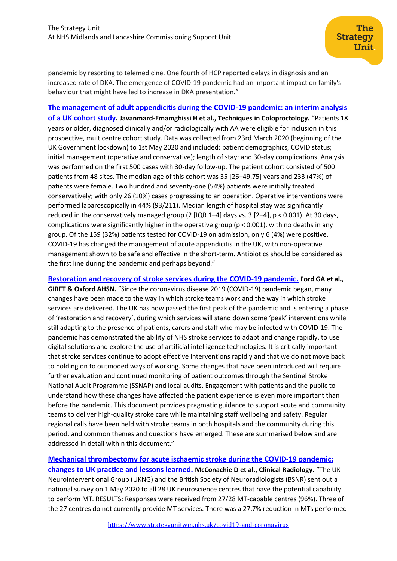pandemic by resorting to telemedicine. One fourth of HCP reported delays in diagnosis and an increased rate of DKA. The emergence of COVID‐19 pandemic had an important impact on family's behaviour that might have led to increase in DKA presentation."

**[The management of adult appendicitis during the COVID-19 pandemic: an interim analysis](https://link.springer.com/article/10.1007%2Fs10151-020-02297-4)  [of a UK cohort study.](https://link.springer.com/article/10.1007%2Fs10151-020-02297-4) Javanmard-Emamghissi H et al., Techniques in Coloproctology.** "Patients 18 years or older, diagnosed clinically and/or radiologically with AA were eligible for inclusion in this prospective, multicentre cohort study. Data was collected from 23rd March 2020 (beginning of the UK Government lockdown) to 1st May 2020 and included: patient demographics, COVID status; initial management (operative and conservative); length of stay; and 30-day complications. Analysis was performed on the first 500 cases with 30-day follow-up. The patient cohort consisted of 500 patients from 48 sites. The median age of this cohort was 35 [26–49.75] years and 233 (47%) of patients were female. Two hundred and seventy-one (54%) patients were initially treated conservatively; with only 26 (10%) cases progressing to an operation. Operative interventions were performed laparoscopically in 44% (93/211). Median length of hospital stay was significantly reduced in the conservatively managed group (2 [IQR 1–4] days vs. 3 [2–4], p < 0.001). At 30 days, complications were significantly higher in the operative group (p < 0.001), with no deaths in any group. Of the 159 (32%) patients tested for COVID-19 on admission, only 6 (4%) were positive. COVID-19 has changed the management of acute appendicitis in the UK, with non-operative management shown to be safe and effective in the short-term. Antibiotics should be considered as the first line during the pandemic and perhaps beyond."

**[Restoration and recovery of stroke services during the COVID-19 pandemic.](https://www.oxfordahsn.org/wp-content/uploads/2020/07/Restoration-and-recovery-of-stroke-services-during-the-COVID-19-pandemic-July-2020-1.pdf) Ford GA et al., GIRFT & Oxford AHSN.** "Since the coronavirus disease 2019 (COVID-19) pandemic began, many changes have been made to the way in which stroke teams work and the way in which stroke services are delivered. The UK has now passed the first peak of the pandemic and is entering a phase of 'restoration and recovery', during which services will stand down some 'peak' interventions while still adapting to the presence of patients, carers and staff who may be infected with COVID-19. The pandemic has demonstrated the ability of NHS stroke services to adapt and change rapidly, to use digital solutions and explore the use of artificial intelligence technologies. It is critically important that stroke services continue to adopt effective interventions rapidly and that we do not move back to holding on to outmoded ways of working. Some changes that have been introduced will require further evaluation and continued monitoring of patient outcomes through the Sentinel Stroke National Audit Programme (SSNAP) and local audits. Engagement with patients and the public to understand how these changes have affected the patient experience is even more important than before the pandemic. This document provides pragmatic guidance to support acute and community teams to deliver high-quality stroke care while maintaining staff wellbeing and safety. Regular regional calls have been held with stroke teams in both hospitals and the community during this period, and common themes and questions have emerged. These are summarised below and are addressed in detail within this document."

# **[Mechanical thrombectomy for acute ischaemic stroke during the COVID-19 pandemic:](https://www.clinicalradiologyonline.net/article/S0009-9260(20)30265-8/pdf)**

**[changes to UK practice and lessons learned.](https://www.clinicalradiologyonline.net/article/S0009-9260(20)30265-8/pdf) McConachie D et al., Clinical Radiology.** "The UK Neurointerventional Group (UKNG) and the British Society of Neuroradiologists (BSNR) sent out a national survey on 1 May 2020 to all 28 UK neuroscience centres that have the potential capability to perform MT. RESULTS: Responses were received from 27/28 MT-capable centres (96%). Three of the 27 centres do not currently provide MT services. There was a 27.7% reduction in MTs performed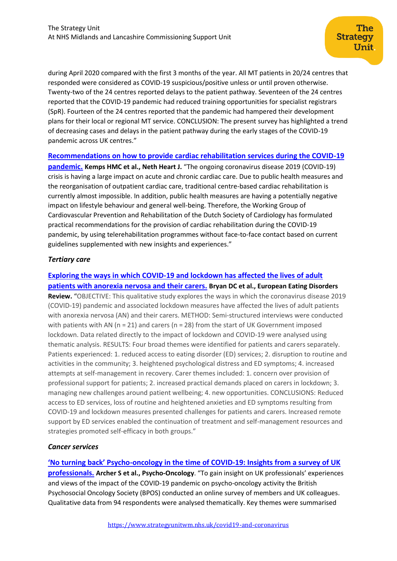during April 2020 compared with the first 3 months of the year. All MT patients in 20/24 centres that responded were considered as COVID-19 suspicious/positive unless or until proven otherwise. Twenty-two of the 24 centres reported delays to the patient pathway. Seventeen of the 24 centres reported that the COVID-19 pandemic had reduced training opportunities for specialist registrars (SpR). Fourteen of the 24 centres reported that the pandemic had hampered their development plans for their local or regional MT service. CONCLUSION: The present survey has highlighted a trend of decreasing cases and delays in the patient pathway during the early stages of the COVID-19 pandemic across UK centres."

**[Recommendations on how to provide cardiac rehabilitation services during the COVID-19](https://link.springer.com/content/pdf/10.1007/s12471-020-01474-2.pdf)** 

**[pandemic.](https://link.springer.com/content/pdf/10.1007/s12471-020-01474-2.pdf) Kemps HMC et al., Neth Heart J.** "The ongoing coronavirus disease 2019 (COVID-19) crisis is having a large impact on acute and chronic cardiac care. Due to public health measures and the reorganisation of outpatient cardiac care, traditional centre-based cardiac rehabilitation is currently almost impossible. In addition, public health measures are having a potentially negative impact on lifestyle behaviour and general well-being. Therefore, the Working Group of Cardiovascular Prevention and Rehabilitation of the Dutch Society of Cardiology has formulated practical recommendations for the provision of cardiac rehabilitation during the COVID-19 pandemic, by using telerehabilitation programmes without face-to-face contact based on current guidelines supplemented with new insights and experiences."

# *Tertiary care*

**[Exploring the ways in which COVID-19 and lockdown has affected the lives of adult](https://europepmc.org/article/med/32643844)  [patients with anorexia nervosa and their carers.](https://europepmc.org/article/med/32643844) Bryan DC et al., European Eating Disorders Review.** "OBJECTIVE: This qualitative study explores the ways in which the coronavirus disease 2019 (COVID-19) pandemic and associated lockdown measures have affected the lives of adult patients with anorexia nervosa (AN) and their carers. METHOD: Semi-structured interviews were conducted with patients with AN ( $n = 21$ ) and carers ( $n = 28$ ) from the start of UK Government imposed lockdown. Data related directly to the impact of lockdown and COVID-19 were analysed using thematic analysis. RESULTS: Four broad themes were identified for patients and carers separately. Patients experienced: 1. reduced access to eating disorder (ED) services; 2. disruption to routine and activities in the community; 3. heightened psychological distress and ED symptoms; 4. increased attempts at self-management in recovery. Carer themes included: 1. concern over provision of professional support for patients; 2. increased practical demands placed on carers in lockdown; 3. managing new challenges around patient wellbeing; 4. new opportunities. CONCLUSIONS: Reduced access to ED services, loss of routine and heightened anxieties and ED symptoms resulting from COVID-19 and lockdown measures presented challenges for patients and carers. Increased remote support by ED services enabled the continuation of treatment and self-management resources and strategies promoted self-efficacy in both groups."

# *Cancer services*

**'No turning back' Psycho[-oncology in the time of COVID-19: Insights from a survey of UK](https://onlinelibrary.wiley.com/doi/abs/10.1002/pon.5486)  [professionals.](https://onlinelibrary.wiley.com/doi/abs/10.1002/pon.5486) Archer S et al., Psycho-Oncology**. "To gain insight on UK professionals' experiences and views of the impact of the COVID-19 pandemic on psycho-oncology activity the British Psychosocial Oncology Society (BPOS) conducted an online survey of members and UK colleagues. Qualitative data from 94 respondents were analysed thematically. Key themes were summarised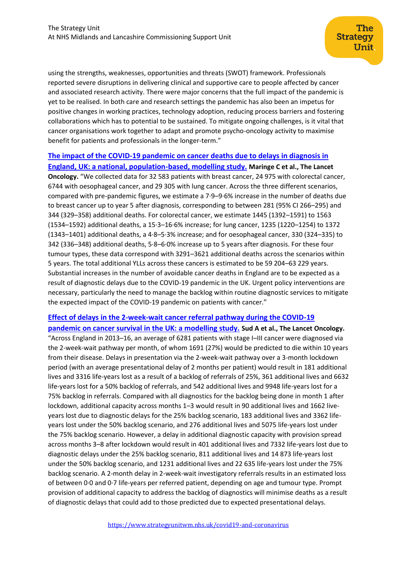using the strengths, weaknesses, opportunities and threats (SWOT) framework. Professionals reported severe disruptions in delivering clinical and supportive care to people affected by cancer and associated research activity. There were major concerns that the full impact of the pandemic is yet to be realised. In both care and research settings the pandemic has also been an impetus for positive changes in working practices, technology adoption, reducing process barriers and fostering collaborations which has to potential to be sustained. To mitigate ongoing challenges, is it vital that cancer organisations work together to adapt and promote psycho-oncology activity to maximise benefit for patients and professionals in the longer-term."

**[The impact of the COVID-19 pandemic on cancer deaths due to delays in diagnosis in](https://www.thelancet.com/journals/lanonc/article/PIIS1470-2045(20)30388-0/fulltext)  [England, UK: a national, population-based, modelling study.](https://www.thelancet.com/journals/lanonc/article/PIIS1470-2045(20)30388-0/fulltext) Maringe C et al., The Lancet Oncology.** "We collected data for 32 583 patients with breast cancer, 24 975 with colorectal cancer, 6744 with oesophageal cancer, and 29 305 with lung cancer. Across the three different scenarios, compared with pre-pandemic figures, we estimate a 7·9–9·6% increase in the number of deaths due to breast cancer up to year 5 after diagnosis, corresponding to between 281 (95% CI 266–295) and 344 (329–358) additional deaths. For colorectal cancer, we estimate 1445 (1392–1591) to 1563 (1534–1592) additional deaths, a 15·3–16·6% increase; for lung cancer, 1235 (1220–1254) to 1372 (1343–1401) additional deaths, a 4·8–5·3% increase; and for oesophageal cancer, 330 (324–335) to 342 (336–348) additional deaths, 5·8–6·0% increase up to 5 years after diagnosis. For these four tumour types, these data correspond with 3291–3621 additional deaths across the scenarios within 5 years. The total additional YLLs across these cancers is estimated to be 59 204–63 229 years. Substantial increases in the number of avoidable cancer deaths in England are to be expected as a result of diagnostic delays due to the COVID-19 pandemic in the UK. Urgent policy interventions are necessary, particularly the need to manage the backlog within routine diagnostic services to mitigate the expected impact of the COVID-19 pandemic on patients with cancer."

# **[Effect of delays in the 2-week-wait cancer referral pathway during the COVID-19](https://www.thelancet.com/journals/lanonc/article/PIIS1470-2045(20)30392-2/fulltext)  [pandemic on cancer survival in the UK: a modelling study.](https://www.thelancet.com/journals/lanonc/article/PIIS1470-2045(20)30392-2/fulltext) Sud A et al., The Lancet Oncology.**

"Across England in 2013–16, an average of 6281 patients with stage I–III cancer were diagnosed via the 2-week-wait pathway per month, of whom 1691 (27%) would be predicted to die within 10 years from their disease. Delays in presentation via the 2-week-wait pathway over a 3-month lockdown period (with an average presentational delay of 2 months per patient) would result in 181 additional lives and 3316 life-years lost as a result of a backlog of referrals of 25%, 361 additional lives and 6632 life-years lost for a 50% backlog of referrals, and 542 additional lives and 9948 life-years lost for a 75% backlog in referrals. Compared with all diagnostics for the backlog being done in month 1 after lockdown, additional capacity across months 1–3 would result in 90 additional lives and 1662 liveyears lost due to diagnostic delays for the 25% backlog scenario, 183 additional lives and 3362 lifeyears lost under the 50% backlog scenario, and 276 additional lives and 5075 life-years lost under the 75% backlog scenario. However, a delay in additional diagnostic capacity with provision spread across months 3–8 after lockdown would result in 401 additional lives and 7332 life-years lost due to diagnostic delays under the 25% backlog scenario, 811 additional lives and 14 873 life-years lost under the 50% backlog scenario, and 1231 additional lives and 22 635 life-years lost under the 75% backlog scenario. A 2-month delay in 2-week-wait investigatory referrals results in an estimated loss of between 0·0 and 0·7 life-years per referred patient, depending on age and tumour type. Prompt provision of additional capacity to address the backlog of diagnostics will minimise deaths as a result of diagnostic delays that could add to those predicted due to expected presentational delays.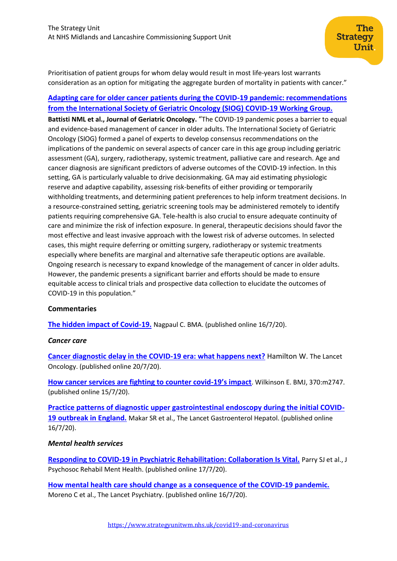Prioritisation of patient groups for whom delay would result in most life-years lost warrants consideration as an option for mitigating the aggregate burden of mortality in patients with cancer."

The **Strategy** 

Unit

# **[Adapting care for older cancer patients during the COVID-19 pandemic: recommendations](https://www.geriatriconcology.net/article/S1879-4068(20)30366-0/pdf)  [from the International Society of Geriatric Oncology \(SIOG\) COVID-19 Working Group.](https://www.geriatriconcology.net/article/S1879-4068(20)30366-0/pdf)**

**Battisti NML et al., Journal of Geriatric Oncology.** "The COVID-19 pandemic poses a barrier to equal and evidence-based management of cancer in older adults. The International Society of Geriatric Oncology (SIOG) formed a panel of experts to develop consensus recommendations on the implications of the pandemic on several aspects of cancer care in this age group including geriatric assessment (GA), surgery, radiotherapy, systemic treatment, palliative care and research. Age and cancer diagnosis are significant predictors of adverse outcomes of the COVID-19 infection. In this setting, GA is particularly valuable to drive decisionmaking. GA may aid estimating physiologic reserve and adaptive capability, assessing risk-benefits of either providing or temporarily withholding treatments, and determining patient preferences to help inform treatment decisions. In a resource-constrained setting, geriatric screening tools may be administered remotely to identify patients requiring comprehensive GA. Tele-health is also crucial to ensure adequate continuity of care and minimize the risk of infection exposure. In general, therapeutic decisions should favor the most effective and least invasive approach with the lowest risk of adverse outcomes. In selected cases, this might require deferring or omitting surgery, radiotherapy or systemic treatments especially where benefits are marginal and alternative safe therapeutic options are available. Ongoing research is necessary to expand knowledge of the management of cancer in older adults. However, the pandemic presents a significant barrier and efforts should be made to ensure equitable access to clinical trials and prospective data collection to elucidate the outcomes of COVID-19 in this population."

# **Commentaries**

**[The hidden impact of Covid-19.](https://www.bma.org.uk/news-and-opinion/the-hidden-impact-of-covid-19)** Nagpaul C. BMA. (published online 16/7/20).

# *Cancer care*

**[Cancer diagnostic delay in the COVID-19 era: what happens next?](https://www.thelancet.com/journals/lanonc/article/PIIS1470-2045(20)30391-0/fulltext)** Hamilton W. The Lancet Oncology. (published online 20/7/20).

**[How cancer services are fighting to counter covid-](https://www.bmj.com/content/370/bmj.m2747)19's impact**. Wilkinson E. BMJ, 370:m2747. (published online 15/7/20).

**[Practice patterns of diagnostic upper gastrointestinal endoscopy during the initial COVID-](https://www.thelancet.com/pdfs/journals/langas/PIIS2468-1253(20)30236-3.pdf)[19 outbreak in England.](https://www.thelancet.com/pdfs/journals/langas/PIIS2468-1253(20)30236-3.pdf)** Makar SR et al., The Lancet Gastroenterol Hepatol. (published online 16/7/20).

# *Mental health services*

**[Responding to COVID-19 in Psychiatric Rehabilitation: Collaboration Is Vital.](https://link.springer.com/content/pdf/10.1007/s40737-020-00180-x.pdf)** Parry SJ et al., J Psychosoc Rehabil Ment Health. (published online 17/7/20).

**[How mental health care should change as a consequence of the COVID-19 pandemic.](https://www.thelancet.com/journals/lanpsy/article/PIIS2215-0366(20)30307-2/fulltext)** Moreno C et al., The Lancet Psychiatry. (published online 16/7/20).